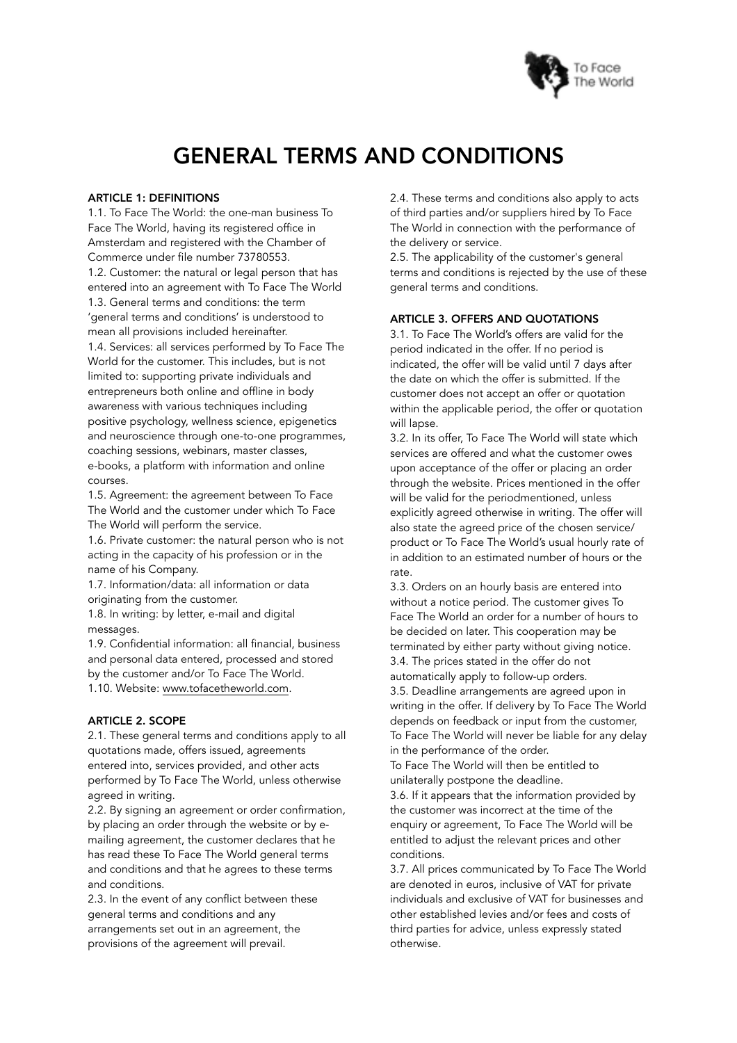

# GENERAL TERMS AND CONDITIONS

#### ARTICLE 1: DEFINITIONS

1.1. To Face The World: the one-man business To Face The World, having its registered office in Amsterdam and registered with the Chamber of Commerce under file number 73780553. 1.2. Customer: the natural or legal person that has entered into an agreement with To Face The World 1.3. General terms and conditions: the term 'general terms and conditions' is understood to mean all provisions included hereinafter. 1.4. Services: all services performed by To Face The World for the customer. This includes, but is not limited to: supporting private individuals and entrepreneurs both online and offline in body awareness with various techniques including positive psychology, wellness science, epigenetics and neuroscience through one-to-one programmes, coaching sessions, webinars, master classes, e-books, a platform with information and online courses.

1.5. Agreement: the agreement between To Face The World and the customer under which To Face The World will perform the service.

1.6. Private customer: the natural person who is not acting in the capacity of his profession or in the name of his Company.

1.7. Information/data: all information or data originating from the customer.

1.8. In writing: by letter, e-mail and digital messages.

1.9. Confidential information: all financial, business and personal data entered, processed and stored by the customer and/or To Face The World. 1.10. Website: [www.tofacetheworld.com](http://www.tofacetheworld.com).

#### ARTICLE 2. SCOPE

2.1. These general terms and conditions apply to all quotations made, offers issued, agreements entered into, services provided, and other acts performed by To Face The World, unless otherwise agreed in writing.

2.2. By signing an agreement or order confirmation, by placing an order through the website or by emailing agreement, the customer declares that he has read these To Face The World general terms and conditions and that he agrees to these terms and conditions.

2.3. In the event of any conflict between these general terms and conditions and any arrangements set out in an agreement, the provisions of the agreement will prevail.

2.4. These terms and conditions also apply to acts of third parties and/or suppliers hired by To Face The World in connection with the performance of the delivery or service.

2.5. The applicability of the customer's general terms and conditions is rejected by the use of these general terms and conditions.

# ARTICLE 3. OFFERS AND QUOTATIONS

3.1. To Face The World's offers are valid for the period indicated in the offer. If no period is indicated, the offer will be valid until 7 days after the date on which the offer is submitted. If the customer does not accept an offer or quotation within the applicable period, the offer or quotation will lapse.

3.2. In its offer, To Face The World will state which services are offered and what the customer owes upon acceptance of the offer or placing an order through the website. Prices mentioned in the offer will be valid for the periodmentioned, unless explicitly agreed otherwise in writing. The offer will also state the agreed price of the chosen service/ product or To Face The World's usual hourly rate of in addition to an estimated number of hours or the rate.

3.3. Orders on an hourly basis are entered into without a notice period. The customer gives To Face The World an order for a number of hours to be decided on later. This cooperation may be terminated by either party without giving notice. 3.4. The prices stated in the offer do not automatically apply to follow-up orders. 3.5. Deadline arrangements are agreed upon in writing in the offer. If delivery by To Face The World depends on feedback or input from the customer, To Face The World will never be liable for any delay in the performance of the order.

To Face The World will then be entitled to unilaterally postpone the deadline.

3.6. If it appears that the information provided by the customer was incorrect at the time of the enquiry or agreement, To Face The World will be entitled to adjust the relevant prices and other conditions.

3.7. All prices communicated by To Face The World are denoted in euros, inclusive of VAT for private individuals and exclusive of VAT for businesses and other established levies and/or fees and costs of third parties for advice, unless expressly stated otherwise.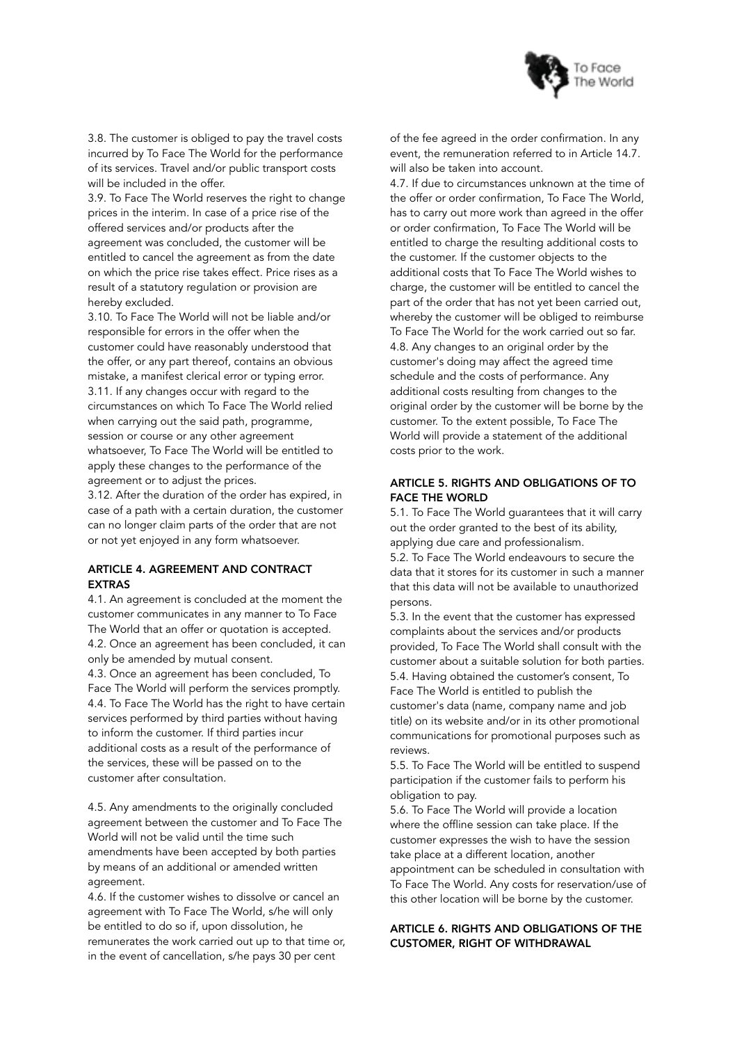

3.8. The customer is obliged to pay the travel costs incurred by To Face The World for the performance of its services. Travel and/or public transport costs will be included in the offer.

3.9. To Face The World reserves the right to change prices in the interim. In case of a price rise of the offered services and/or products after the agreement was concluded, the customer will be entitled to cancel the agreement as from the date on which the price rise takes effect. Price rises as a result of a statutory regulation or provision are hereby excluded.

3.10. To Face The World will not be liable and/or responsible for errors in the offer when the customer could have reasonably understood that the offer, or any part thereof, contains an obvious mistake, a manifest clerical error or typing error. 3.11. If any changes occur with regard to the circumstances on which To Face The World relied when carrying out the said path, programme, session or course or any other agreement whatsoever, To Face The World will be entitled to apply these changes to the performance of the agreement or to adjust the prices.

3.12. After the duration of the order has expired, in case of a path with a certain duration, the customer can no longer claim parts of the order that are not or not yet enjoyed in any form whatsoever.

#### ARTICLE 4. AGREEMENT AND CONTRACT EXTRAS

4.1. An agreement is concluded at the moment the customer communicates in any manner to To Face The World that an offer or quotation is accepted. 4.2. Once an agreement has been concluded, it can only be amended by mutual consent.

4.3. Once an agreement has been concluded, To Face The World will perform the services promptly. 4.4. To Face The World has the right to have certain services performed by third parties without having to inform the customer. If third parties incur additional costs as a result of the performance of the services, these will be passed on to the customer after consultation.

4.5. Any amendments to the originally concluded agreement between the customer and To Face The World will not be valid until the time such amendments have been accepted by both parties by means of an additional or amended written agreement.

4.6. If the customer wishes to dissolve or cancel an agreement with To Face The World, s/he will only be entitled to do so if, upon dissolution, he remunerates the work carried out up to that time or, in the event of cancellation, s/he pays 30 per cent

of the fee agreed in the order confirmation. In any event, the remuneration referred to in Article 14.7. will also be taken into account.

4.7. If due to circumstances unknown at the time of the offer or order confirmation, To Face The World, has to carry out more work than agreed in the offer or order confirmation, To Face The World will be entitled to charge the resulting additional costs to the customer. If the customer objects to the additional costs that To Face The World wishes to charge, the customer will be entitled to cancel the part of the order that has not yet been carried out, whereby the customer will be obliged to reimburse To Face The World for the work carried out so far. 4.8. Any changes to an original order by the customer's doing may affect the agreed time schedule and the costs of performance. Any additional costs resulting from changes to the original order by the customer will be borne by the customer. To the extent possible, To Face The World will provide a statement of the additional costs prior to the work.

# ARTICLE 5. RIGHTS AND OBLIGATIONS OF TO FACE THE WORLD

5.1. To Face The World guarantees that it will carry out the order granted to the best of its ability, applying due care and professionalism.

5.2. To Face The World endeavours to secure the data that it stores for its customer in such a manner that this data will not be available to unauthorized persons.

5.3. In the event that the customer has expressed complaints about the services and/or products provided, To Face The World shall consult with the customer about a suitable solution for both parties. 5.4. Having obtained the customer's consent, To Face The World is entitled to publish the customer's data (name, company name and job title) on its website and/or in its other promotional communications for promotional purposes such as reviews.

5.5. To Face The World will be entitled to suspend participation if the customer fails to perform his obligation to pay.

5.6. To Face The World will provide a location where the offline session can take place. If the customer expresses the wish to have the session take place at a different location, another appointment can be scheduled in consultation with To Face The World. Any costs for reservation/use of this other location will be borne by the customer.

# ARTICLE 6. RIGHTS AND OBLIGATIONS OF THE CUSTOMER, RIGHT OF WITHDRAWAL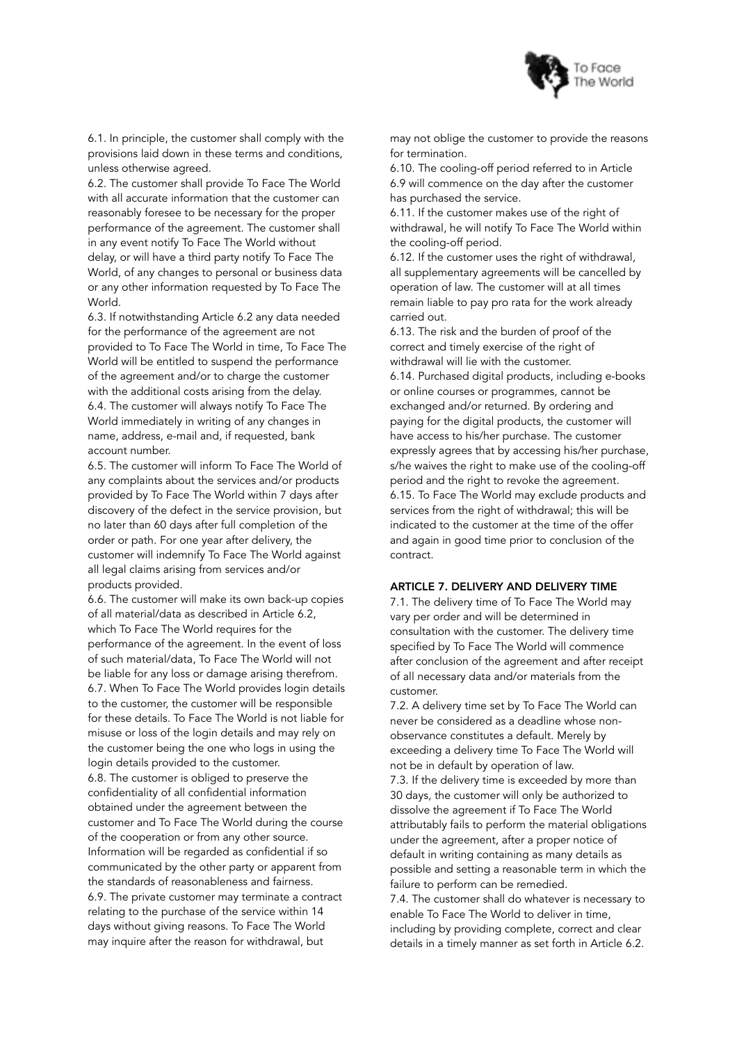

6.1. In principle, the customer shall comply with the provisions laid down in these terms and conditions, unless otherwise agreed.

6.2. The customer shall provide To Face The World with all accurate information that the customer can reasonably foresee to be necessary for the proper performance of the agreement. The customer shall in any event notify To Face The World without delay, or will have a third party notify To Face The World, of any changes to personal or business data or any other information requested by To Face The World.

6.3. If notwithstanding Article 6.2 any data needed for the performance of the agreement are not provided to To Face The World in time, To Face The World will be entitled to suspend the performance of the agreement and/or to charge the customer with the additional costs arising from the delay. 6.4. The customer will always notify To Face The World immediately in writing of any changes in name, address, e-mail and, if requested, bank account number.

6.5. The customer will inform To Face The World of any complaints about the services and/or products provided by To Face The World within 7 days after discovery of the defect in the service provision, but no later than 60 days after full completion of the order or path. For one year after delivery, the customer will indemnify To Face The World against all legal claims arising from services and/or products provided.

6.6. The customer will make its own back-up copies of all material/data as described in Article 6.2, which To Face The World requires for the performance of the agreement. In the event of loss of such material/data, To Face The World will not be liable for any loss or damage arising therefrom. 6.7. When To Face The World provides login details to the customer, the customer will be responsible for these details. To Face The World is not liable for misuse or loss of the login details and may rely on the customer being the one who logs in using the login details provided to the customer. 6.8. The customer is obliged to preserve the confidentiality of all confidential information obtained under the agreement between the customer and To Face The World during the course of the cooperation or from any other source. Information will be regarded as confidential if so communicated by the other party or apparent from the standards of reasonableness and fairness. 6.9. The private customer may terminate a contract relating to the purchase of the service within 14 days without giving reasons. To Face The World may inquire after the reason for withdrawal, but

may not oblige the customer to provide the reasons for termination.

6.10. The cooling-off period referred to in Article 6.9 will commence on the day after the customer has purchased the service.

6.11. If the customer makes use of the right of withdrawal, he will notify To Face The World within the cooling-off period.

6.12. If the customer uses the right of withdrawal, all supplementary agreements will be cancelled by operation of law. The customer will at all times remain liable to pay pro rata for the work already carried out.

6.13. The risk and the burden of proof of the correct and timely exercise of the right of withdrawal will lie with the customer.

6.14. Purchased digital products, including e-books or online courses or programmes, cannot be exchanged and/or returned. By ordering and paying for the digital products, the customer will have access to his/her purchase. The customer expressly agrees that by accessing his/her purchase, s/he waives the right to make use of the cooling-off period and the right to revoke the agreement. 6.15. To Face The World may exclude products and services from the right of withdrawal; this will be indicated to the customer at the time of the offer and again in good time prior to conclusion of the contract.

#### ARTICLE 7. DELIVERY AND DELIVERY TIME

7.1. The delivery time of To Face The World may vary per order and will be determined in consultation with the customer. The delivery time specified by To Face The World will commence after conclusion of the agreement and after receipt of all necessary data and/or materials from the customer.

7.2. A delivery time set by To Face The World can never be considered as a deadline whose nonobservance constitutes a default. Merely by exceeding a delivery time To Face The World will not be in default by operation of law.

7.3. If the delivery time is exceeded by more than 30 days, the customer will only be authorized to dissolve the agreement if To Face The World attributably fails to perform the material obligations under the agreement, after a proper notice of default in writing containing as many details as possible and setting a reasonable term in which the failure to perform can be remedied.

7.4. The customer shall do whatever is necessary to enable To Face The World to deliver in time, including by providing complete, correct and clear details in a timely manner as set forth in Article 6.2.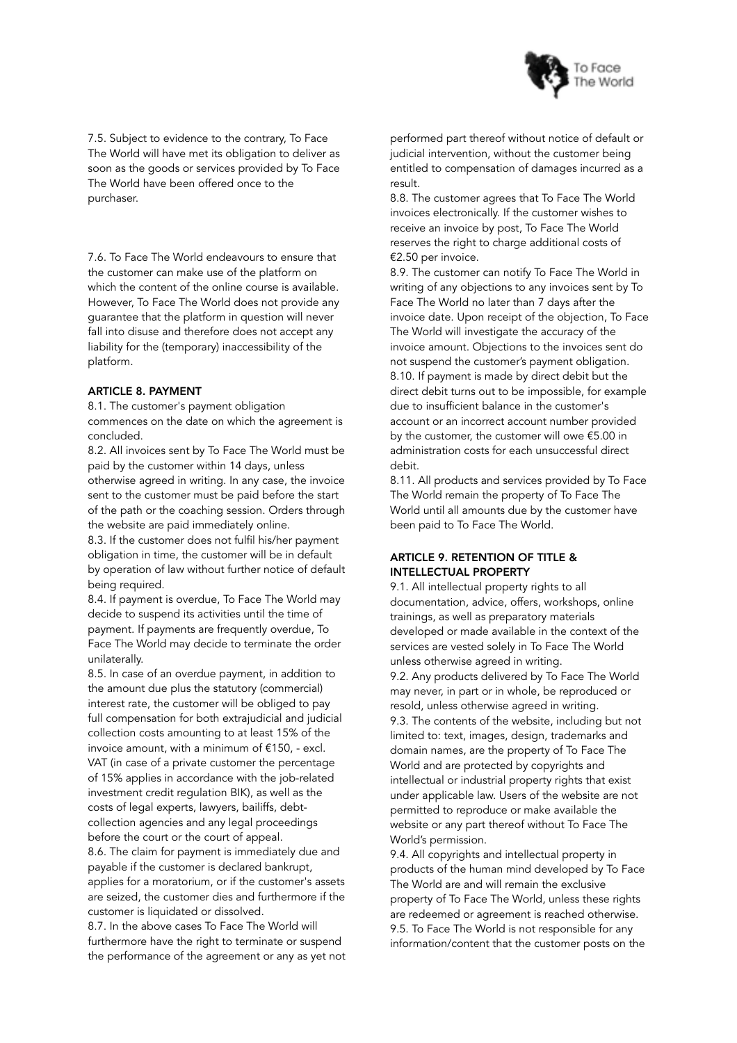

7.5. Subject to evidence to the contrary, To Face The World will have met its obligation to deliver as soon as the goods or services provided by To Face The World have been offered once to the purchaser.

7.6. To Face The World endeavours to ensure that the customer can make use of the platform on which the content of the online course is available. However, To Face The World does not provide any guarantee that the platform in question will never fall into disuse and therefore does not accept any liability for the (temporary) inaccessibility of the platform.

#### ARTICLE 8. PAYMENT

8.1. The customer's payment obligation commences on the date on which the agreement is concluded.

8.2. All invoices sent by To Face The World must be paid by the customer within 14 days, unless otherwise agreed in writing. In any case, the invoice sent to the customer must be paid before the start of the path or the coaching session. Orders through the website are paid immediately online.

8.3. If the customer does not fulfil his/her payment obligation in time, the customer will be in default by operation of law without further notice of default being required.

8.4. If payment is overdue, To Face The World may decide to suspend its activities until the time of payment. If payments are frequently overdue, To Face The World may decide to terminate the order unilaterally.

8.5. In case of an overdue payment, in addition to the amount due plus the statutory (commercial) interest rate, the customer will be obliged to pay full compensation for both extrajudicial and judicial collection costs amounting to at least 15% of the invoice amount, with a minimum of €150, - excl. VAT (in case of a private customer the percentage of 15% applies in accordance with the job-related investment credit regulation BIK), as well as the costs of legal experts, lawyers, bailiffs, debtcollection agencies and any legal proceedings before the court or the court of appeal.

8.6. The claim for payment is immediately due and payable if the customer is declared bankrupt, applies for a moratorium, or if the customer's assets are seized, the customer dies and furthermore if the customer is liquidated or dissolved.

8.7. In the above cases To Face The World will furthermore have the right to terminate or suspend the performance of the agreement or any as yet not

performed part thereof without notice of default or judicial intervention, without the customer being entitled to compensation of damages incurred as a result.

8.8. The customer agrees that To Face The World invoices electronically. If the customer wishes to receive an invoice by post, To Face The World reserves the right to charge additional costs of €2.50 per invoice.

8.9. The customer can notify To Face The World in writing of any objections to any invoices sent by To Face The World no later than 7 days after the invoice date. Upon receipt of the objection, To Face The World will investigate the accuracy of the invoice amount. Objections to the invoices sent do not suspend the customer's payment obligation. 8.10. If payment is made by direct debit but the direct debit turns out to be impossible, for example due to insufficient balance in the customer's account or an incorrect account number provided by the customer, the customer will owe €5.00 in administration costs for each unsuccessful direct debit.

8.11. All products and services provided by To Face The World remain the property of To Face The World until all amounts due by the customer have been paid to To Face The World.

## ARTICLE 9. RETENTION OF TITLE & INTELLECTUAL PROPERTY

9.1. All intellectual property rights to all documentation, advice, offers, workshops, online trainings, as well as preparatory materials developed or made available in the context of the services are vested solely in To Face The World unless otherwise agreed in writing. 9.2. Any products delivered by To Face The World may never, in part or in whole, be reproduced or resold, unless otherwise agreed in writing. 9.3. The contents of the website, including but not limited to: text, images, design, trademarks and domain names, are the property of To Face The World and are protected by copyrights and intellectual or industrial property rights that exist under applicable law. Users of the website are not permitted to reproduce or make available the website or any part thereof without To Face The World's permission.

9.4. All copyrights and intellectual property in products of the human mind developed by To Face The World are and will remain the exclusive property of To Face The World, unless these rights are redeemed or agreement is reached otherwise. 9.5. To Face The World is not responsible for any information/content that the customer posts on the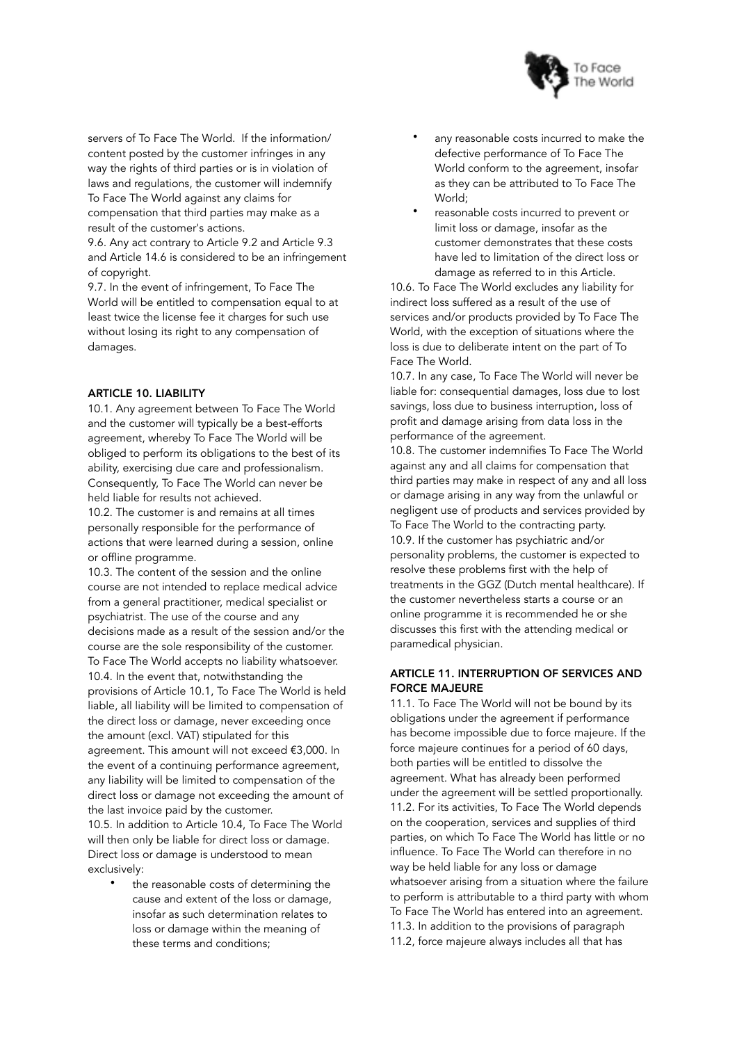

servers of To Face The World. If the information/ content posted by the customer infringes in any way the rights of third parties or is in violation of laws and regulations, the customer will indemnify To Face The World against any claims for compensation that third parties may make as a result of the customer's actions.

9.6. Any act contrary to Article 9.2 and Article 9.3 and Article 14.6 is considered to be an infringement of copyright.

9.7. In the event of infringement, To Face The World will be entitled to compensation equal to at least twice the license fee it charges for such use without losing its right to any compensation of damages.

## ARTICLE 10. LIABILITY

10.1. Any agreement between To Face The World and the customer will typically be a best-efforts agreement, whereby To Face The World will be obliged to perform its obligations to the best of its ability, exercising due care and professionalism. Consequently, To Face The World can never be held liable for results not achieved.

10.2. The customer is and remains at all times personally responsible for the performance of actions that were learned during a session, online or offline programme.

10.3. The content of the session and the online course are not intended to replace medical advice from a general practitioner, medical specialist or psychiatrist. The use of the course and any decisions made as a result of the session and/or the course are the sole responsibility of the customer. To Face The World accepts no liability whatsoever. 10.4. In the event that, notwithstanding the provisions of Article 10.1, To Face The World is held liable, all liability will be limited to compensation of the direct loss or damage, never exceeding once the amount (excl. VAT) stipulated for this agreement. This amount will not exceed €3,000. In the event of a continuing performance agreement, any liability will be limited to compensation of the direct loss or damage not exceeding the amount of the last invoice paid by the customer. 10.5. In addition to Article 10.4, To Face The World will then only be liable for direct loss or damage. Direct loss or damage is understood to mean exclusively:

• the reasonable costs of determining the cause and extent of the loss or damage, insofar as such determination relates to loss or damage within the meaning of these terms and conditions;

- any reasonable costs incurred to make the defective performance of To Face The World conform to the agreement, insofar as they can be attributed to To Face The World;
- reasonable costs incurred to prevent or limit loss or damage, insofar as the customer demonstrates that these costs have led to limitation of the direct loss or damage as referred to in this Article.

10.6. To Face The World excludes any liability for indirect loss suffered as a result of the use of services and/or products provided by To Face The World, with the exception of situations where the loss is due to deliberate intent on the part of To Face The World.

10.7. In any case, To Face The World will never be liable for: consequential damages, loss due to lost savings, loss due to business interruption, loss of profit and damage arising from data loss in the performance of the agreement.

10.8. The customer indemnifies To Face The World against any and all claims for compensation that third parties may make in respect of any and all loss or damage arising in any way from the unlawful or negligent use of products and services provided by To Face The World to the contracting party. 10.9. If the customer has psychiatric and/or personality problems, the customer is expected to resolve these problems first with the help of treatments in the GGZ (Dutch mental healthcare). If the customer nevertheless starts a course or an online programme it is recommended he or she discusses this first with the attending medical or paramedical physician.

## ARTICLE 11. INTERRUPTION OF SERVICES AND FORCE MAJEURE

11.1. To Face The World will not be bound by its obligations under the agreement if performance has become impossible due to force majeure. If the force majeure continues for a period of 60 days, both parties will be entitled to dissolve the agreement. What has already been performed under the agreement will be settled proportionally. 11.2. For its activities, To Face The World depends on the cooperation, services and supplies of third parties, on which To Face The World has little or no influence. To Face The World can therefore in no way be held liable for any loss or damage whatsoever arising from a situation where the failure to perform is attributable to a third party with whom To Face The World has entered into an agreement. 11.3. In addition to the provisions of paragraph 11.2, force majeure always includes all that has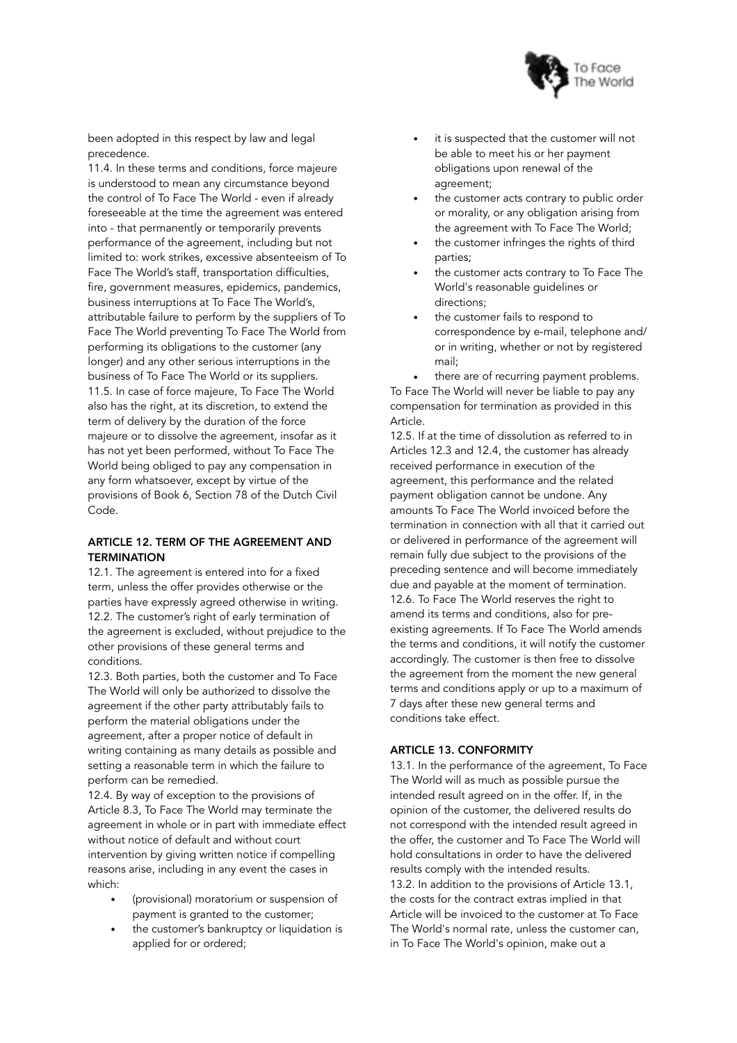

been adopted in this respect by law and legal precedence.

11.4. In these terms and conditions, force majeure is understood to mean any circumstance beyond the control of To Face The World - even if already foreseeable at the time the agreement was entered into - that permanently or temporarily prevents performance of the agreement, including but not limited to: work strikes, excessive absenteeism of To Face The World's staff, transportation difficulties, fire, government measures, epidemics, pandemics, business interruptions at To Face The World's, attributable failure to perform by the suppliers of To Face The World preventing To Face The World from performing its obligations to the customer (any longer) and any other serious interruptions in the business of To Face The World or its suppliers. 11.5. In case of force majeure, To Face The World also has the right, at its discretion, to extend the term of delivery by the duration of the force majeure or to dissolve the agreement, insofar as it has not yet been performed, without To Face The World being obliged to pay any compensation in any form whatsoever, except by virtue of the provisions of Book 6, Section 78 of the Dutch Civil Code.

# ARTICLE 12. TERM OF THE AGREEMENT AND **TERMINATION**

12.1. The agreement is entered into for a fixed term, unless the offer provides otherwise or the parties have expressly agreed otherwise in writing. 12.2. The customer's right of early termination of the agreement is excluded, without prejudice to the other provisions of these general terms and conditions.

12.3. Both parties, both the customer and To Face The World will only be authorized to dissolve the agreement if the other party attributably fails to perform the material obligations under the agreement, after a proper notice of default in writing containing as many details as possible and setting a reasonable term in which the failure to perform can be remedied.

12.4. By way of exception to the provisions of Article 8.3, To Face The World may terminate the agreement in whole or in part with immediate effect without notice of default and without court intervention by giving written notice if compelling reasons arise, including in any event the cases in which:

- (provisional) moratorium or suspension of payment is granted to the customer;
- the customer's bankruptcy or liquidation is applied for or ordered;
- it is suspected that the customer will not be able to meet his or her payment obligations upon renewal of the agreement;
- the customer acts contrary to public order or morality, or any obligation arising from the agreement with To Face The World;
- the customer infringes the rights of third parties;
- the customer acts contrary to To Face The World's reasonable guidelines or directions;
- the customer fails to respond to correspondence by e-mail, telephone and/ or in writing, whether or not by registered mail;

there are of recurring payment problems. To Face The World will never be liable to pay any compensation for termination as provided in this Article.

12.5. If at the time of dissolution as referred to in Articles 12.3 and 12.4, the customer has already received performance in execution of the agreement, this performance and the related payment obligation cannot be undone. Any amounts To Face The World invoiced before the termination in connection with all that it carried out or delivered in performance of the agreement will remain fully due subject to the provisions of the preceding sentence and will become immediately due and payable at the moment of termination. 12.6. To Face The World reserves the right to amend its terms and conditions, also for preexisting agreements. If To Face The World amends the terms and conditions, it will notify the customer accordingly. The customer is then free to dissolve the agreement from the moment the new general terms and conditions apply or up to a maximum of 7 days after these new general terms and conditions take effect.

# ARTICLE 13. CONFORMITY

13.1. In the performance of the agreement, To Face The World will as much as possible pursue the intended result agreed on in the offer. If, in the opinion of the customer, the delivered results do not correspond with the intended result agreed in the offer, the customer and To Face The World will hold consultations in order to have the delivered results comply with the intended results. 13.2. In addition to the provisions of Article 13.1, the costs for the contract extras implied in that Article will be invoiced to the customer at To Face The World's normal rate, unless the customer can, in To Face The World's opinion, make out a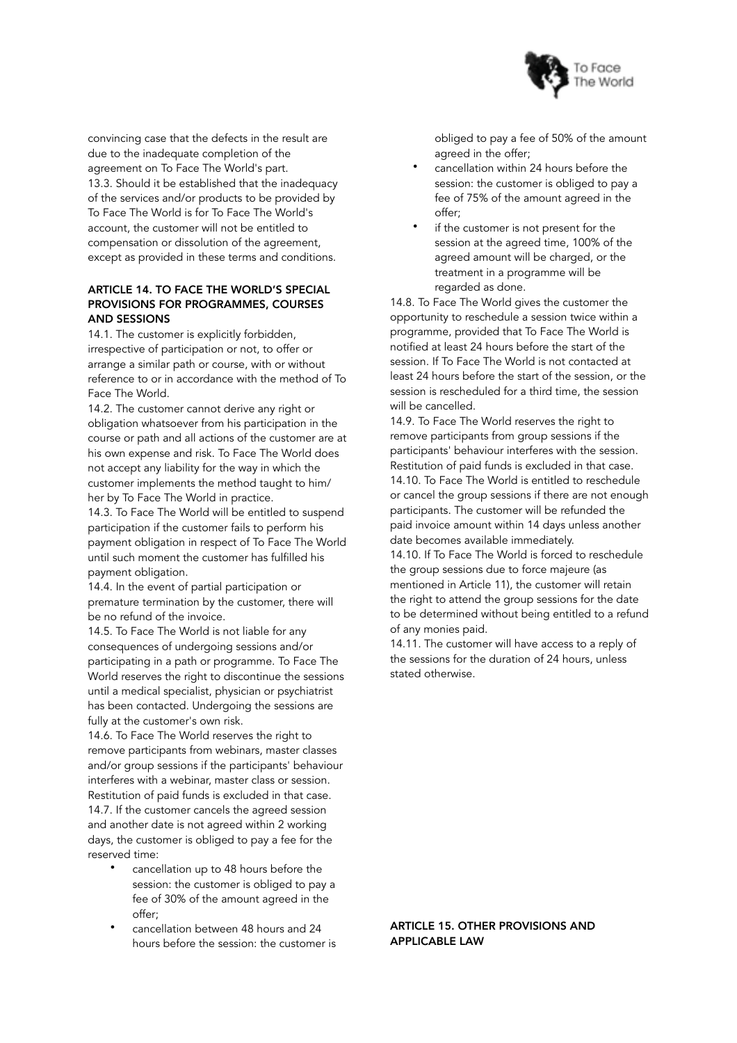

convincing case that the defects in the result are due to the inadequate completion of the agreement on To Face The World's part. 13.3. Should it be established that the inadequacy of the services and/or products to be provided by To Face The World is for To Face The World's account, the customer will not be entitled to compensation or dissolution of the agreement, except as provided in these terms and conditions.

# ARTICLE 14. TO FACE THE WORLD'S SPECIAL PROVISIONS FOR PROGRAMMES, COURSES AND SESSIONS

14.1. The customer is explicitly forbidden, irrespective of participation or not, to offer or arrange a similar path or course, with or without reference to or in accordance with the method of To Face The World.

14.2. The customer cannot derive any right or obligation whatsoever from his participation in the course or path and all actions of the customer are at his own expense and risk. To Face The World does not accept any liability for the way in which the customer implements the method taught to him/ her by To Face The World in practice.

14.3. To Face The World will be entitled to suspend participation if the customer fails to perform his payment obligation in respect of To Face The World until such moment the customer has fulfilled his payment obligation.

14.4. In the event of partial participation or premature termination by the customer, there will be no refund of the invoice.

14.5. To Face The World is not liable for any consequences of undergoing sessions and/or participating in a path or programme. To Face The World reserves the right to discontinue the sessions until a medical specialist, physician or psychiatrist has been contacted. Undergoing the sessions are fully at the customer's own risk.

14.6. To Face The World reserves the right to remove participants from webinars, master classes and/or group sessions if the participants' behaviour interferes with a webinar, master class or session. Restitution of paid funds is excluded in that case. 14.7. If the customer cancels the agreed session and another date is not agreed within 2 working days, the customer is obliged to pay a fee for the reserved time:

- cancellation up to 48 hours before the session: the customer is obliged to pay a fee of 30% of the amount agreed in the offer;
- cancellation between 48 hours and 24 hours before the session: the customer is

obliged to pay a fee of 50% of the amount agreed in the offer:

- cancellation within 24 hours before the session: the customer is obliged to pay a fee of 75% of the amount agreed in the offer;
- if the customer is not present for the session at the agreed time, 100% of the agreed amount will be charged, or the treatment in a programme will be regarded as done.

14.8. To Face The World gives the customer the opportunity to reschedule a session twice within a programme, provided that To Face The World is notified at least 24 hours before the start of the session. If To Face The World is not contacted at least 24 hours before the start of the session, or the session is rescheduled for a third time, the session will be cancelled.

14.9. To Face The World reserves the right to remove participants from group sessions if the participants' behaviour interferes with the session. Restitution of paid funds is excluded in that case. 14.10. To Face The World is entitled to reschedule or cancel the group sessions if there are not enough participants. The customer will be refunded the paid invoice amount within 14 days unless another date becomes available immediately.

14.10. If To Face The World is forced to reschedule the group sessions due to force majeure (as mentioned in Article 11), the customer will retain the right to attend the group sessions for the date to be determined without being entitled to a refund of any monies paid.

14.11. The customer will have access to a reply of the sessions for the duration of 24 hours, unless stated otherwise.

## ARTICLE 15. OTHER PROVISIONS AND APPLICABLE LAW